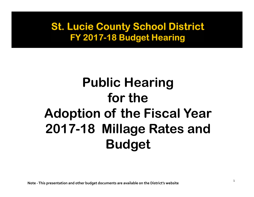# **Public Hearing for the Adoption of the Fiscal Year 2017-18 Millage Rates and Budget**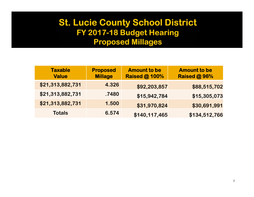#### **St. Lucie County School District** FY 2017-18 Budget Hearing **Proposed Millages**

| <b>Taxable</b><br><b>Value</b> | <b>Proposed</b><br><b>Millage</b> | <b>Amount to be</b><br><b>Raised @ 100%</b> | <b>Amount to be</b><br><b>Raised @ 96%</b> |
|--------------------------------|-----------------------------------|---------------------------------------------|--------------------------------------------|
| \$21,313,882,731               | 4.326                             | \$92,203,857                                | \$88,515,702                               |
| \$21,313,882,731               | .7480                             | \$15,942,784                                | \$15,305,073                               |
| \$21,313,882,731               | 1.500                             | \$31,970,824                                | \$30,691,991                               |
| <b>Totals</b>                  | 6.574                             | \$140,117,465                               | \$134,512,766                              |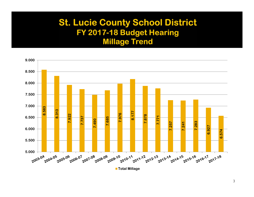#### **St. Lucie County School District** FY 2017-18 Budget Hearing **Millage Trend**

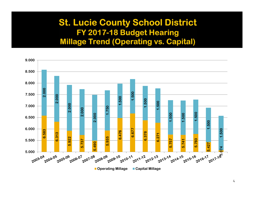#### **St. Lucie County School District** FY 2017-18 Budget Hearing **Millage Trend (Operating vs. Capital)**

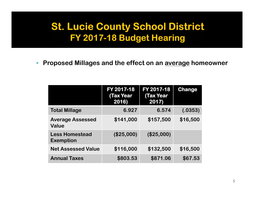$\mathcal{L}$ **Proposed Millages and the effect on an average homeowner** 

|                                           | FY 2017-18<br><b>Tax Year</b><br>2016) | FY 2017-18<br><b>Tax Year</b><br>2017) | <b>Change</b> |
|-------------------------------------------|----------------------------------------|----------------------------------------|---------------|
| <b>Total Millage</b>                      | 6.927                                  | 6.574                                  | (.0353)       |
| <b>Average Assessed</b><br><b>Value</b>   | \$141,000                              | \$157,500                              | \$16,500      |
| <b>Less Homestead</b><br><b>Exemption</b> | (\$25,000)                             | (\$25,000)                             |               |
| <b>Net Assessed Value</b>                 | \$116,000                              | \$132,500                              | \$16,500      |
| <b>Annual Taxes</b>                       | \$803.53                               | \$871.06                               | \$67.53       |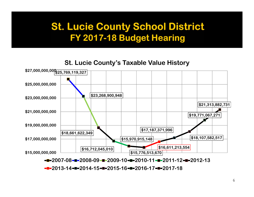#### **St. Lucie County's Taxable Value History**



**2013-14 2014-15 2015-16 2016-17 2017-18**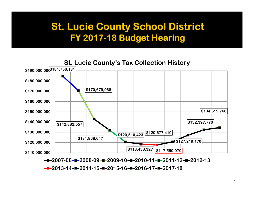

**2013-14 2014-15 2015-16 2016-17 2017-18**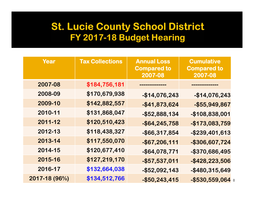| Year          | <b>Tax Collections</b> | <b>Annual Loss</b><br><b>Compared to</b><br>2007-08 | <b>Cumulative</b><br><b>Compared to</b><br>2007-08 |
|---------------|------------------------|-----------------------------------------------------|----------------------------------------------------|
| 2007-08       | \$184,756,181          | --------------                                      |                                                    |
| 2008-09       | \$170,679,938          | $-$ \$14,076,243                                    | $-$ \$14,076,243                                   |
| 2009-10       | \$142,882,557          | $-$ \$41,873,624                                    | $-$ \$55,949,867                                   |
| 2010-11       | \$131,868,047          | $-$ \$52,888,134                                    | -\$108,838,001                                     |
| 2011-12       | \$120,510,423          | $-$ \$64,245,758                                    | $-$ \$173,083,759                                  |
| 2012-13       | \$118,438,327          | $-$ \$66,317,854                                    | $-$ \$239,401,613                                  |
| 2013-14       | \$117,550,070          | $-$ \$67,206,111                                    | -\$306,607,724                                     |
| 2014-15       | \$120,677,410          | -\$64,078,771                                       | -\$370,686,495                                     |
| 2015-16       | \$127,219,170          | $-$ \$57,537,011                                    | $-$ \$428,223,506                                  |
| 2016-17       | \$132,664,038          | $-$ \$52,092,143                                    | $-$ \$480,315,649                                  |
| 2017-18 (96%) | \$134,512,766          | $-$ \$50,243,415                                    | $-$ \$530,559,064 8                                |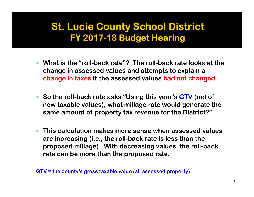- **What is the "roll-back rate"? The roll-back rate looks at the change in assessed values and attempts to explain a change in taxes if the assessed values had not changed**
- **So the roll-back rate asks "Using this year's GTV (net of new taxable values), what millage rate would generate the same amount of property tax revenue for the District?"**
- П **This calculation makes more sense when assessed values are increasing (i.e., the roll-back rate is less than the proposed millage). With decreasing values, the roll-back rate can be more than the proposed rate.**

**GTV = the county's gross taxable value (all assessed property)**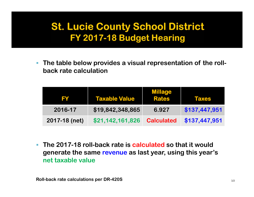$\overline{\phantom{a}}$  **The table below provides a visual representation of the rollback rate calculation** 

| FY            | <b>Taxable Value</b> | <b>Millage</b><br><b>Rates</b> | <b>Taxes</b>  |
|---------------|----------------------|--------------------------------|---------------|
| 2016-17       | \$19,842,348,865     | 6.927                          | \$137,447,951 |
| 2017-18 (net) | \$21,142,161,826     | <b>Calculated</b>              | \$137,447,951 |

 **The 2017-18 roll-back rate is calculated so that it would generate the same revenue as last year, using this year's net taxable value**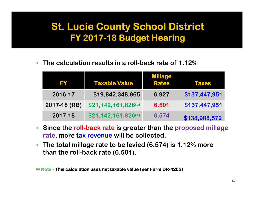$\mathcal{L}_{\mathcal{A}}$ **The calculation results in a roll-back rate of 1.12%**

| FY           | <b>Taxable Value</b> | <b>Millage</b><br><b>Rates</b> | Taxes         |
|--------------|----------------------|--------------------------------|---------------|
| 2016-17      | \$19,842,348,865     | 6.927                          | \$137,447,951 |
| 2017-18 (RB) | \$21,142,161,826(a)  | 6.501                          | \$137,447,951 |
| 2017-18      | \$21,142,161,826(a)  | 6.574                          | \$138,988,572 |

- $\mathbb{R}^n$  . **Since the roll-back rate is greater than the proposed millage rate, more tax revenue will be collected.**
- $\mathcal{L}_{\mathcal{A}}$  **The total millage rate to be levied (6.574) is 1.12% more than the roll-back rate (6.501).**

**(a) Note - This calculation uses net taxable value (per Form DR-420S)**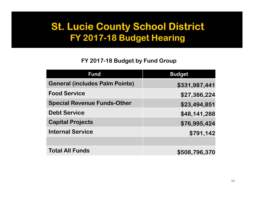#### **FY 2017-18 Budget by Fund Group**

| Fund                                  | <b>Budget</b> |
|---------------------------------------|---------------|
| <b>General (includes Palm Pointe)</b> | \$331,987,441 |
| <b>Food Service</b>                   | \$27,386,224  |
| <b>Special Revenue Funds-Other</b>    | \$23,494,851  |
| <b>Debt Service</b>                   | \$48,141,288  |
| <b>Capital Projects</b>               | \$76,995,424  |
| <b>Internal Service</b>               | \$791,142     |
|                                       |               |
| <b>Total All Funds</b>                | \$508,796,370 |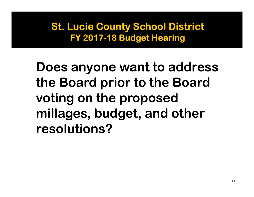**Does anyone want to address the Board prior to the Board voting on the proposed millages, budget, and other resolutions?**